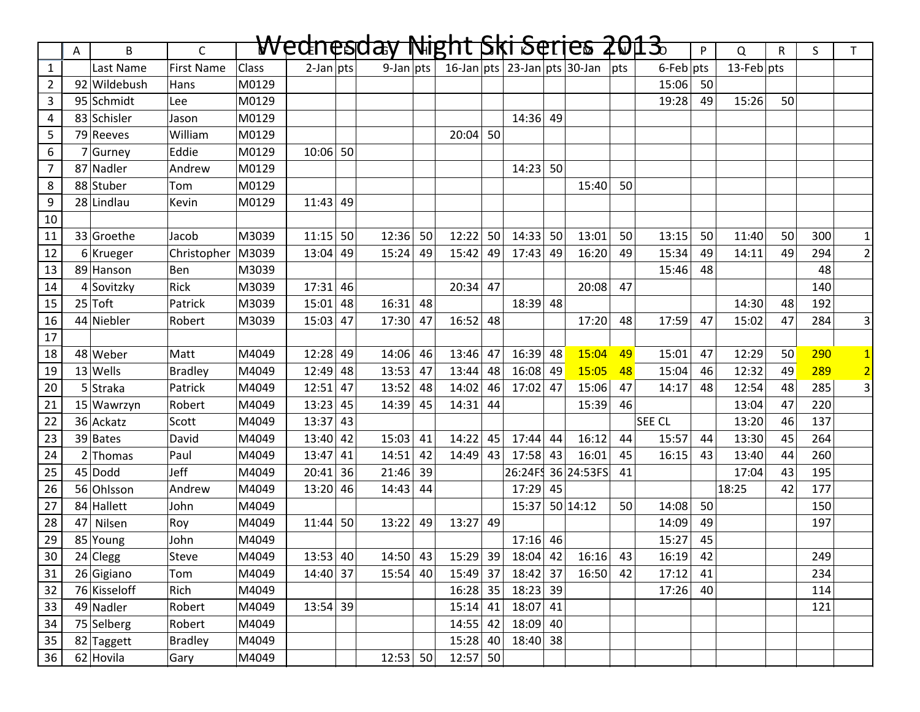|                 | Α  | B            | $\mathsf{C}$      |              |              |    | Wednesday Night Ski Series 2013 |    |                                       |    |                                      |    |                    |                  |                 | $\mathsf{P}$ | $\Omega$      | $\mathsf{R}$ | S.  | T.             |
|-----------------|----|--------------|-------------------|--------------|--------------|----|---------------------------------|----|---------------------------------------|----|--------------------------------------|----|--------------------|------------------|-----------------|--------------|---------------|--------------|-----|----------------|
| $\mathbf{1}$    |    | Last Name    | <b>First Name</b> | <b>Class</b> | $2$ -Jan pts |    | $9$ -Jan pts                    |    |                                       |    | 16-Jan   pts   23-Jan   pts   30-Jan |    |                    | $ _{\text{pts}}$ | $6$ -Feb $ pts$ |              | $13$ -Feb pts |              |     |                |
| $\overline{2}$  |    | 92 Wildebush | Hans              | M0129        |              |    |                                 |    |                                       |    |                                      |    |                    |                  | 15:06           | 50           |               |              |     |                |
| 3               |    | 95 Schmidt   | Lee               | M0129        |              |    |                                 |    |                                       |    |                                      |    |                    |                  | 19:28           | 49           | 15:26         | 50           |     |                |
| 4               |    | 83 Schisler  | Jason             | M0129        |              |    |                                 |    |                                       |    | $14:36$ 49                           |    |                    |                  |                 |              |               |              |     |                |
| 5               |    | 79 Reeves    | William           | M0129        |              |    |                                 |    | 20:04                                 | 50 |                                      |    |                    |                  |                 |              |               |              |     |                |
| 6               |    | $7$ Gurney   | Eddie             | M0129        | $10:06$ 50   |    |                                 |    |                                       |    |                                      |    |                    |                  |                 |              |               |              |     |                |
| $\overline{7}$  |    | 87 Nadler    | Andrew            | M0129        |              |    |                                 |    |                                       |    | 14:23                                | 50 |                    |                  |                 |              |               |              |     |                |
| 8               |    | 88 Stuber    | Tom               | M0129        |              |    |                                 |    |                                       |    |                                      |    | 15:40              | 50               |                 |              |               |              |     |                |
| 9               |    | 28 Lindlau   | Kevin             | M0129        | 11:43        | 49 |                                 |    |                                       |    |                                      |    |                    |                  |                 |              |               |              |     |                |
| 10              |    |              |                   |              |              |    |                                 |    |                                       |    |                                      |    |                    |                  |                 |              |               |              |     |                |
| 11              |    | 33 Groethe   | Jacob             | M3039        | 11:15        | 50 | 12:36                           | 50 | 12:22                                 | 50 | 14:33                                | 50 | 13:01              | 50               | 13:15           | 50           | 11:40         | 50           | 300 | $1\vert$       |
| 12              |    | $6$ Krueger  | Christopher       | M3039        | 13:04        | 49 | 15:24                           | 49 | 15:42                                 | 49 | 17:43                                | 49 | 16:20              | 49               | 15:34           | 49           | 14:11         | 49           | 294 | $\overline{2}$ |
| 13              |    | 89 Hanson    | Ben               | M3039        |              |    |                                 |    |                                       |    |                                      |    |                    |                  | 15:46           | 48           |               |              | 48  |                |
| 14              |    | 4 Sovitzky   | Rick              | M3039        | $17:31$ 46   |    |                                 |    | 20:34                                 | 47 |                                      |    | 20:08              | 47               |                 |              |               |              | 140 |                |
| 15              |    | $25$ Toft    | Patrick           | M3039        | $15:01$ 48   |    | 16:31                           | 48 |                                       |    | $18:39$ 48                           |    |                    |                  |                 |              | 14:30         | 48           | 192 |                |
| 16              |    | 44 Niebler   | Robert            | M3039        | $15:03$ 47   |    | 17:30                           | 47 | 16:52                                 | 48 |                                      |    | 17:20              | 48               | 17:59           | 47           | 15:02         | 47           | 284 | 3              |
| 17              |    |              |                   |              |              |    |                                 |    |                                       |    |                                      |    |                    |                  |                 |              |               |              |     |                |
| 18              |    | 48 Weber     | Matt              | M4049        | 12:28        | 49 | 14:06                           | 46 | 13:46                                 | 47 | 16:39                                | 48 | 15:04              | 49               | 15:01           | 47           | 12:29         | 50           | 290 | $1\overline{}$ |
| 19              |    | $13$ Wells   | <b>Bradley</b>    | M4049        | 12:49        | 48 | 13:53                           | 47 | 13:44                                 | 48 | 16:08                                | 49 | 15:05              | 48               | 15:04           | 46           | 12:32         | 49           | 289 | $\overline{2}$ |
| 20              |    | 5 Straka     | Patrick           | M4049        | $12:51$ 47   |    | 13:52                           | 48 | 14:02                                 | 46 | 17:02                                | 47 | 15:06              | 47               | 14:17           | 48           | 12:54         | 48           | 285 | $\overline{3}$ |
| 21              |    | 15 Wawrzyn   | Robert            | M4049        | $13:23$ 45   |    | 14:39                           | 45 | 14:31                                 | 44 |                                      |    | 15:39              | 46               |                 |              | 13:04         | 47           | 220 |                |
| 22              |    | 36 Ackatz    | Scott             | M4049        | 13:37        | 43 |                                 |    |                                       |    |                                      |    |                    |                  | SEE CL          |              | 13:20         | 46           | 137 |                |
| 23              |    | 39 Bates     | David             | M4049        | 13:40        | 42 | 15:03                           | 41 | 14:22                                 | 45 | 17:44                                | 44 | 16:12              | 44               | 15:57           | 44           | 13:30         | 45           | 264 |                |
| 24              |    | $2$ Thomas   | Paul              | M4049        | 13:47        | 41 | 14:51                           | 42 | 14:49                                 | 43 | 17:58                                | 43 | 16:01              | 45               | 16:15           | 43           | 13:40         | 44           | 260 |                |
| 25              |    | $45 $ Dodd   | Jeff              | M4049        | $20:41$ 36   |    | 21:46                           | 39 |                                       |    |                                      |    | 26:24FS 36 24:53FS | 41               |                 |              | 17:04         | 43           | 195 |                |
| 26              |    | 56 Ohlsson   | Andrew            | M4049        | 13:20        | 46 | 14:43                           | 44 |                                       |    | 17:29                                | 45 |                    |                  |                 |              | 18:25         | 42           | 177 |                |
| 27              |    | 84 Hallett   | John              | M4049        |              |    |                                 |    |                                       |    | 15:37                                |    | 50 14:12           | 50               | 14:08           | 50           |               |              | 150 |                |
| 28              | 47 | Nilsen       | Roy               | M4049        | 11:44        | 50 | 13:22                           | 49 | 13:27                                 | 49 |                                      |    |                    |                  | 14:09           | 49           |               |              | 197 |                |
| 29              |    | 85 Young     | John              | M4049        |              |    |                                 |    |                                       |    | $17:16$ 46                           |    |                    |                  | 15:27           | 45           |               |              |     |                |
| $\overline{30}$ |    | $24$ Clegg   | Steve             | M4049        | 13:53   40   |    |                                 |    | $14:50$ 43 15:29 39 18:04 42 16:16 43 |    |                                      |    |                    |                  | 16:19           | 42           |               |              | 249 |                |
| 31              |    | 26 Gigiano   | Tom               | M4049        | 14:40 37     |    | 15:54                           | 40 |                                       |    | 15:49 37 18:42 37                    |    | 16:50              | 42               | 17:12           | 41           |               |              | 234 |                |
| 32              |    | 76 Kisseloff | Rich              | M4049        |              |    |                                 |    |                                       |    | 16:28 35 18:23 39                    |    |                    |                  | $17:26$ 40      |              |               |              | 114 |                |
| 33              |    | 49 Nadler    | Robert            | M4049        | 13:54 39     |    |                                 |    | $15:14$ 41                            |    | $18:07$ 41                           |    |                    |                  |                 |              |               |              | 121 |                |
| 34              |    | 75 Selberg   | Robert            | M4049        |              |    |                                 |    | $14:55$ 42                            |    | 18:09 40                             |    |                    |                  |                 |              |               |              |     |                |
| 35              |    | 82 Taggett   | <b>Bradley</b>    | M4049        |              |    |                                 |    | $15:28$ 40                            |    | $18:40$ 38                           |    |                    |                  |                 |              |               |              |     |                |
| 36              |    | 62 Hovila    | Gary              | M4049        |              |    | $12:53$ 50                      |    | $12:57$ 50                            |    |                                      |    |                    |                  |                 |              |               |              |     |                |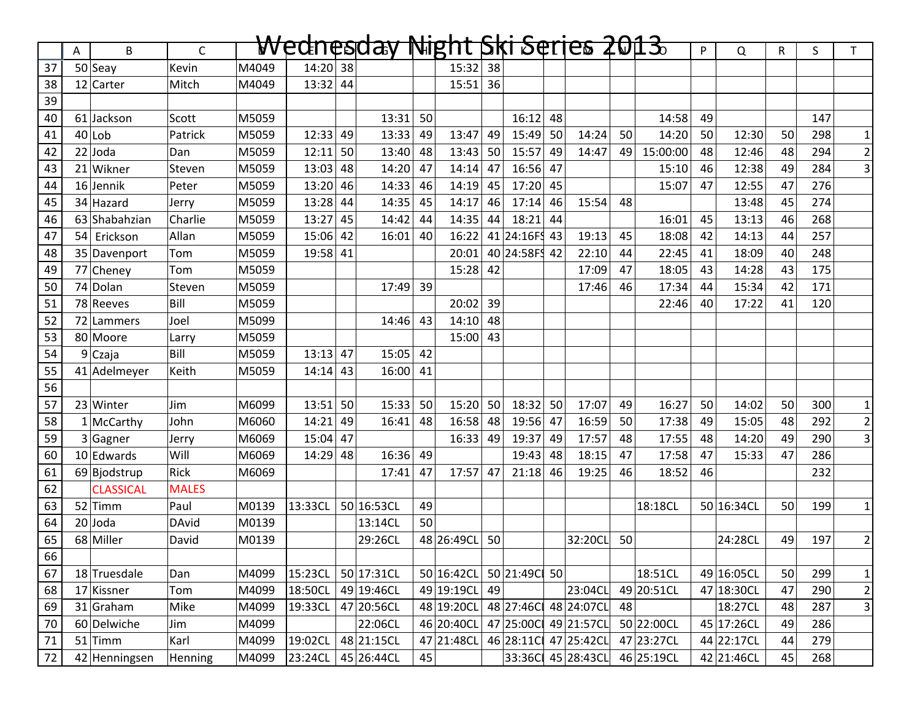|    |    | B                | $\mathsf{C}$ |       | Wednesday |    |            |    | Night Ski Serjes 2013 |    |              |    |                      |    |             | P  | Q          | R  | S   | T.             |
|----|----|------------------|--------------|-------|-----------|----|------------|----|-----------------------|----|--------------|----|----------------------|----|-------------|----|------------|----|-----|----------------|
| 37 | Α  | $50$ Seay        | Kevin        | M4049 | 14:20     | 38 |            |    | 15:32                 | 38 |              |    |                      |    |             |    |            |    |     |                |
| 38 |    | 12 Carter        | Mitch        | M4049 | 13:32     | 44 |            |    | 15:51                 | 36 |              |    |                      |    |             |    |            |    |     |                |
| 39 |    |                  |              |       |           |    |            |    |                       |    |              |    |                      |    |             |    |            |    |     |                |
| 40 |    | 61 Jackson       | Scott        | M5059 |           |    | 13:31      | 50 |                       |    | 16:12        | 48 |                      |    | 14:58       | 49 |            |    | 147 |                |
| 41 |    | $40$  Lob        | Patrick      | M5059 | 12:33     | 49 | 13:33      | 49 | 13:47                 | 49 | 15:49        | 50 | 14:24                | 50 | 14:20       | 50 | 12:30      | 50 | 298 | $1\vert$       |
| 42 |    | $22$ Joda        | Dan          | M5059 | 12:11     | 50 | 13:40      | 48 | 13:43                 | 50 | 15:57        | 49 | 14:47                | 49 | 15:00:00    | 48 | 12:46      | 48 | 294 | $2\vert$       |
| 43 |    | 21 Wikner        | Steven       | M5059 | 13:03     | 48 | 14:20      | 47 | 14:14                 | 47 | 16:56        | 47 |                      |    | 15:10       | 46 | 12:38      | 49 | 284 | $\overline{3}$ |
| 44 |    | 16 Jennik        | Peter        | M5059 | 13:20     | 46 | 14:33      | 46 | 14:19                 | 45 | 17:20        | 45 |                      |    | 15:07       | 47 | 12:55      | 47 | 276 |                |
| 45 |    | 34 Hazard        | Jerry        | M5059 | 13:28     | 44 | 14:35      | 45 | 14:17                 | 46 | 17:14        | 46 | 15:54                | 48 |             |    | 13:48      | 45 | 274 |                |
| 46 |    | 63 Shabahzian    | Charlie      | M5059 | 13:27     | 45 | 14:42      | 44 | 14:35                 | 44 | 18:21        | 44 |                      |    | 16:01       | 45 | 13:13      | 46 | 268 |                |
| 47 | 54 | Erickson         | Allan        | M5059 | 15:06     | 42 | 16:01      | 40 | 16:22                 |    | 41 24:16FS   | 43 | 19:13                | 45 | 18:08       | 42 | 14:13      | 44 | 257 |                |
| 48 |    | 35 Davenport     | Tom          | M5059 | 19:58     | 41 |            |    | 20:01                 |    | 40 24:58FS   | 42 | 22:10                | 44 | 22:45       | 41 | 18:09      | 40 | 248 |                |
| 49 |    | 77 Cheney        | Tom          | M5059 |           |    |            |    | 15:28                 | 42 |              |    | 17:09                | 47 | 18:05       | 43 | 14:28      | 43 | 175 |                |
| 50 |    | 74 Dolan         | Steven       | M5059 |           |    | 17:49      | 39 |                       |    |              |    | 17:46                | 46 | 17:34       | 44 | 15:34      | 42 | 171 |                |
| 51 |    | 78 Reeves        | Bill         | M5059 |           |    |            |    | 20:02                 | 39 |              |    |                      |    | 22:46       | 40 | 17:22      | 41 | 120 |                |
| 52 |    | 72 Lammers       | Joel         | M5099 |           |    | 14:46      | 43 | 14:10                 | 48 |              |    |                      |    |             |    |            |    |     |                |
| 53 |    | 80 Moore         | Larry        | M5059 |           |    |            |    | 15:00                 | 43 |              |    |                      |    |             |    |            |    |     |                |
| 54 |    | 9 Czaja          | Bill         | M5059 | 13:13     | 47 | 15:05      | 42 |                       |    |              |    |                      |    |             |    |            |    |     |                |
| 55 |    | 41 Adelmeyer     | Keith        | M5059 | 14:14     | 43 | 16:00      | 41 |                       |    |              |    |                      |    |             |    |            |    |     |                |
| 56 |    |                  |              |       |           |    |            |    |                       |    |              |    |                      |    |             |    |            |    |     |                |
| 57 |    | 23 Winter        | Jim          | M6099 | 13:51     | 50 | 15:33      | 50 | 15:20                 | 50 | 18:32        | 50 | 17:07                | 49 | 16:27       | 50 | 14:02      | 50 | 300 | $1\vert$       |
| 58 |    | $1$ McCarthy     | John         | M6060 | 14:21     | 49 | 16:41      | 48 | 16:58                 | 48 | 19:56        | 47 | 16:59                | 50 | 17:38       | 49 | 15:05      | 48 | 292 | $2\vert$       |
| 59 |    | 3 Gagner         | Jerry        | M6069 | 15:04     | 47 |            |    | 16:33                 | 49 | 19:37        | 49 | 17:57                | 48 | 17:55       | 48 | 14:20      | 49 | 290 | $\vert$ 3      |
| 60 |    | 10 Edwards       | Will         | M6069 | 14:29     | 48 | 16:36      | 49 |                       |    | 19:43        | 48 | 18:15                | 47 | 17:58       | 47 | 15:33      | 47 | 286 |                |
| 61 |    | 69 Bjodstrup     | Rick         | M6069 |           |    | 17:41      | 47 | 17:57                 | 47 | 21:18        | 46 | 19:25                | 46 | 18:52       | 46 |            |    | 232 |                |
| 62 |    | <b>CLASSICAL</b> | <b>MALES</b> |       |           |    |            |    |                       |    |              |    |                      |    |             |    |            |    |     |                |
| 63 |    | $52$ Timm        | Paul         | M0139 | 13:33CL   |    | 50 16:53CL | 49 |                       |    |              |    |                      |    | 18:18CL     |    | 50 16:34CL | 50 | 199 | $1\vert$       |
| 64 |    | $20$ Joda        | DAvid        | M0139 |           |    | 13:14CL    | 50 |                       |    |              |    |                      |    |             |    |            |    |     |                |
| 65 |    | 68 Miller        | David        | M0139 |           |    | 29:26CL    |    | 48 26:49CL            | 50 |              |    | 32:20CL              | 50 |             |    | 24:28CL    | 49 | 197 | $2\vert$       |
| 66 |    |                  |              |       |           |    |            |    |                       |    |              |    |                      |    |             |    |            |    |     |                |
| 67 |    | 18 Truesdale     | Dan          | M4099 | 15:23CL   |    | 50 17:31CL |    | 50 16:42CL            |    | 50 21:49C 50 |    |                      |    | 18:51CL     |    | 49 16:05CL | 50 | 299 | $1\vert$       |
| 68 |    | 17 Kissner       | Tom          | M4099 | 18:50CL   |    | 49 19:46CL |    | 49 19:19CL 49         |    |              |    | 23:04CL              |    | 49 20:51 CL |    | 47 18:30CL | 47 | 290 | $2\vert$       |
| 69 |    | $31$ Graham      | Mike         | M4099 | 19:33CL   |    | 47 20:56CL |    | 48 19:20CL            |    |              |    | 48 27:46C 48 24:07CL | 48 |             |    | 18:27CL    | 48 | 287 | 3 <sup>1</sup> |
| 70 |    | 60 Delwiche      | Jim          | M4099 |           |    | 22:06CL    |    | 46 20:40CL            |    |              |    | 47 25:00C 49 21:57CL |    | 50 22:00CL  |    | 45 17:26CL | 49 | 286 |                |
| 71 |    | $51$ Timm        | Karl         | M4099 | 19:02CL   |    | 48 21:15CL |    | 47 21:48CL            |    |              |    | 46 28:11C 47 25:42CL |    | 47 23:27CL  |    | 44 22:17CL | 44 | 279 |                |
| 72 |    | 42 Henningsen    | Henning      | M4099 | 23:24CL   |    | 45 26:44CL | 45 |                       |    |              |    | 33:36C 45 28:43CL    |    | 46 25:19CL  |    | 42 21:46CL | 45 | 268 |                |